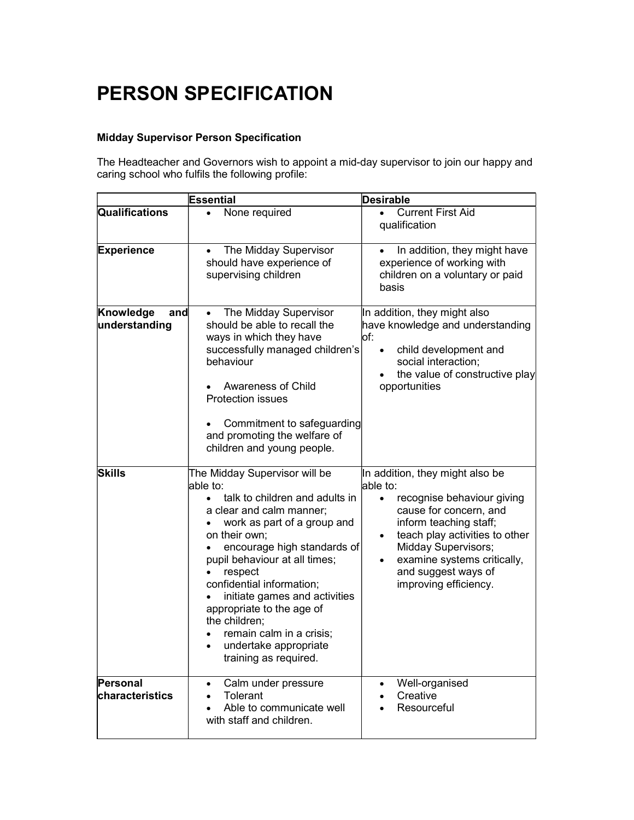## PERSON SPECIFICATION

## Midday Supervisor Person Specification

The Headteacher and Governors wish to appoint a mid-day supervisor to join our happy and caring school who fulfils the following profile:

|                                                    | Essential                                                                                                                                                                                                                                                                                                                                                                                                                                                                                                                         | <b>Desirable</b>                                                                                                                                                                                                                                                                                                                                                                                                                                                               |
|----------------------------------------------------|-----------------------------------------------------------------------------------------------------------------------------------------------------------------------------------------------------------------------------------------------------------------------------------------------------------------------------------------------------------------------------------------------------------------------------------------------------------------------------------------------------------------------------------|--------------------------------------------------------------------------------------------------------------------------------------------------------------------------------------------------------------------------------------------------------------------------------------------------------------------------------------------------------------------------------------------------------------------------------------------------------------------------------|
| Qualifications                                     | None required                                                                                                                                                                                                                                                                                                                                                                                                                                                                                                                     | <b>Current First Aid</b><br>qualification                                                                                                                                                                                                                                                                                                                                                                                                                                      |
| Experience                                         | The Midday Supervisor<br>$\bullet$<br>should have experience of<br>supervising children                                                                                                                                                                                                                                                                                                                                                                                                                                           | In addition, they might have<br>experience of working with<br>children on a voluntary or paid<br>basis                                                                                                                                                                                                                                                                                                                                                                         |
| Knowledge<br>and<br>understanding<br><b>Skills</b> | The Midday Supervisor<br>should be able to recall the<br>ways in which they have<br>successfully managed children's<br>behaviour<br>Awareness of Child<br><b>Protection issues</b><br>Commitment to safeguarding<br>and promoting the welfare of<br>children and young people.<br>The Midday Supervisor will be<br>able to:<br>talk to children and adults in<br>$\bullet$<br>a clear and calm manner;<br>work as part of a group and<br>on their own;<br>encourage high standards of<br>pupil behaviour at all times;<br>respect | In addition, they might also<br>have knowledge and understanding<br>lof:<br>child development and<br>$\bullet$<br>social interaction;<br>the value of constructive play<br>opportunities<br>In addition, they might also be<br>able to:<br>recognise behaviour giving<br>$\bullet$<br>cause for concern, and<br>inform teaching staff;<br>teach play activities to other<br>$\bullet$<br><b>Midday Supervisors;</b><br>examine systems critically,<br>٠<br>and suggest ways of |
|                                                    | confidential information;<br>initiate games and activities<br>appropriate to the age of<br>the children;<br>remain calm in a crisis;<br>undertake appropriate<br>training as required.                                                                                                                                                                                                                                                                                                                                            | improving efficiency.                                                                                                                                                                                                                                                                                                                                                                                                                                                          |
| <b>Personal</b><br>characteristics                 | Calm under pressure<br>$\bullet$<br>Tolerant<br>$\bullet$<br>Able to communicate well<br>with staff and children.                                                                                                                                                                                                                                                                                                                                                                                                                 | Well-organised<br>$\bullet$<br>Creative<br>Resourceful                                                                                                                                                                                                                                                                                                                                                                                                                         |